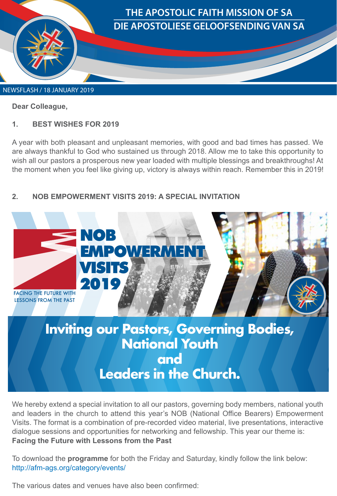

**Dear Colleague,** 

## **1. BEST WISHES FOR 2019**

A year with both pleasant and unpleasant memories, with good and bad times has passed. We are always thankful to God who sustained us through 2018. Allow me to take this opportunity to wish all our pastors a prosperous new year loaded with multiple blessings and breakthroughs! At the moment when you feel like giving up, victory is always within reach. Remember this in 2019!

## **2. NOB EMPOWERMENT VISITS 2019: A SPECIAL INVITATION**



We hereby extend a special invitation to all our pastors, governing body members, national youth and leaders in the church to attend this year's NOB (National Office Bearers) Empowerment Visits. The format is a combination of pre-recorded video material, live presentations, interactive dialogue sessions and opportunities for networking and fellowship. This year our theme is: **Facing the Future with Lessons from the Past**

To download the **programme** for both the Friday and Saturday, kindly follow the link below: http://afm-ags.org/category/events/

The various dates and venues have also been confirmed: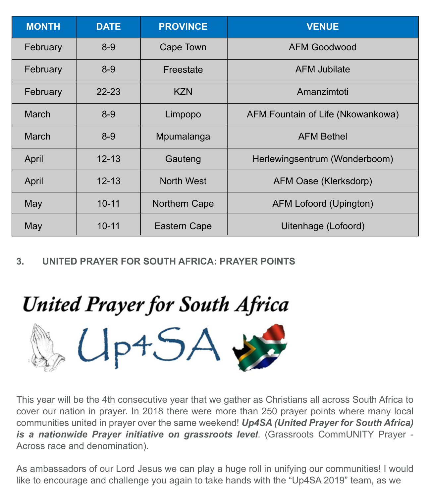| <b>MONTH</b> | <b>DATE</b> | <b>PROVINCE</b> | <b>VENUE</b>                      |
|--------------|-------------|-----------------|-----------------------------------|
| February     | $8-9$       | Cape Town       | <b>AFM Goodwood</b>               |
| February     | $8-9$       | Freestate       | <b>AFM Jubilate</b>               |
| February     | $22 - 23$   | <b>KZN</b>      | Amanzimtoti                       |
| <b>March</b> | $8-9$       | Limpopo         | AFM Fountain of Life (Nkowankowa) |
| <b>March</b> | $8 - 9$     | Mpumalanga      | <b>AFM Bethel</b>                 |
| April        | $12 - 13$   | Gauteng         | Herlewingsentrum (Wonderboom)     |
| April        | $12 - 13$   | North West      | AFM Oase (Klerksdorp)             |
| May          | $10 - 11$   | Northern Cape   | AFM Lofoord (Upington)            |
| May          | $10 - 11$   | Eastern Cape    | Uitenhage (Lofoord)               |

**3. UNITED PRAYER FOR SOUTH AFRICA: PRAYER POINTS**

## **United Prayer for South Africa**

 $Up45$ 

This year will be the 4th consecutive year that we gather as Christians all across South Africa to cover our nation in prayer. In 2018 there were more than 250 prayer points where many local communities united in prayer over the same weekend! *Up4SA (United Prayer for South Africa) is a nationwide Prayer initiative on grassroots level*. (Grassroots CommUNITY Prayer - Across race and denomination).

As ambassadors of our Lord Jesus we can play a huge roll in unifying our communities! I would like to encourage and challenge you again to take hands with the "Up4SA 2019" team, as we